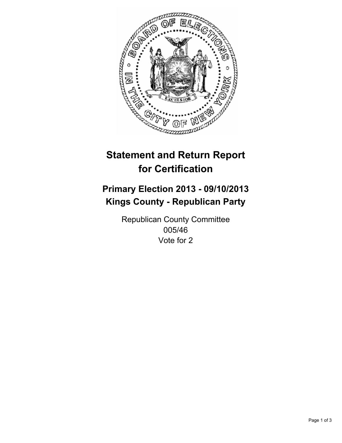

# **Statement and Return Report for Certification**

# **Primary Election 2013 - 09/10/2013 Kings County - Republican Party**

Republican County Committee 005/46 Vote for 2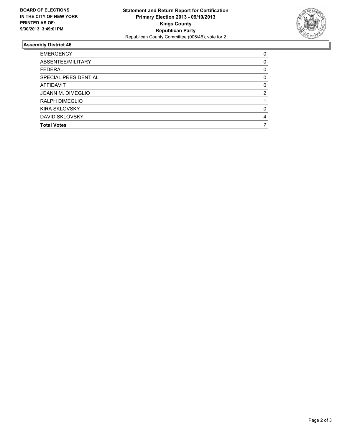

## **Assembly District 46**

| <b>EMERGENCY</b>     | 0        |
|----------------------|----------|
| ABSENTEE/MILITARY    | 0        |
| <b>FEDERAL</b>       | 0        |
| SPECIAL PRESIDENTIAL | 0        |
| AFFIDAVIT            | $\Omega$ |
| JOANN M. DIMEGLIO    | 2        |
| RALPH DIMEGLIO       |          |
| <b>KIRA SKLOVSKY</b> | 0        |
| DAVID SKLOVSKY       | 4        |
| <b>Total Votes</b>   |          |